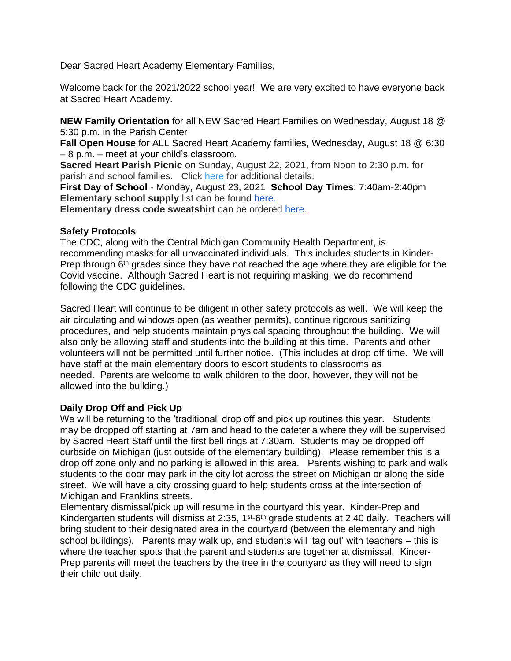Dear Sacred Heart Academy Elementary Families,

Welcome back for the 2021/2022 school year! We are very excited to have everyone back at Sacred Heart Academy.

**NEW Family Orientation** for all NEW Sacred Heart Families on Wednesday, August 18 @ 5:30 p.m. in the Parish Center

**Fall Open House** for ALL Sacred Heart Academy families, Wednesday, August 18 @ 6:30 – 8 p.m. – meet at your child's classroom.

**Sacred Heart Parish Picnic** on Sunday, August 22, 2021, from Noon to 2:30 p.m. for parish and school families. Click [here](https://academy.sha.net/editoruploads/files/parish_picnic.jpg) for additional details.

**First Day of School** - Monday, August 23, 2021 **School Day Times**: 7:40am-2:40pm **Elementary school supply** list can be found [here.](https://academy.sha.net/editoruploads/files/Forms/2021-22_Elementary_Student_Supply_List(1).pdf)

**Elementary dress code sweatshirt** can be ordered [here.](https://www.shelbygiving.com/App/Form/85e58eba-bd1d-4d3d-b39c-257024db8805) 

## **Safety Protocols**

The CDC, along with the Central Michigan Community Health Department, is recommending masks for all unvaccinated individuals. This includes students in Kinder-Prep through  $6<sup>th</sup>$  grades since they have not reached the age where they are eligible for the Covid vaccine. Although Sacred Heart is not requiring masking, we do recommend following the CDC guidelines.

Sacred Heart will continue to be diligent in other safety protocols as well. We will keep the air circulating and windows open (as weather permits), continue rigorous sanitizing procedures, and help students maintain physical spacing throughout the building. We will also only be allowing staff and students into the building at this time. Parents and other volunteers will not be permitted until further notice. (This includes at drop off time. We will have staff at the main elementary doors to escort students to classrooms as needed. Parents are welcome to walk children to the door, however, they will not be allowed into the building.)

# **Daily Drop Off and Pick Up**

We will be returning to the 'traditional' drop off and pick up routines this year. Students may be dropped off starting at 7am and head to the cafeteria where they will be supervised by Sacred Heart Staff until the first bell rings at 7:30am. Students may be dropped off curbside on Michigan (just outside of the elementary building). Please remember this is a drop off zone only and no parking is allowed in this area. Parents wishing to park and walk students to the door may park in the city lot across the street on Michigan or along the side street. We will have a city crossing guard to help students cross at the intersection of Michigan and Franklins streets.

Elementary dismissal/pick up will resume in the courtyard this year. Kinder-Prep and Kindergarten students will dismiss at 2:35, 1<sup>st</sup>-6<sup>th</sup> grade students at 2:40 daily. Teachers will bring student to their designated area in the courtyard (between the elementary and high school buildings). Parents may walk up, and students will 'tag out' with teachers – this is where the teacher spots that the parent and students are together at dismissal. Kinder-Prep parents will meet the teachers by the tree in the courtyard as they will need to sign their child out daily.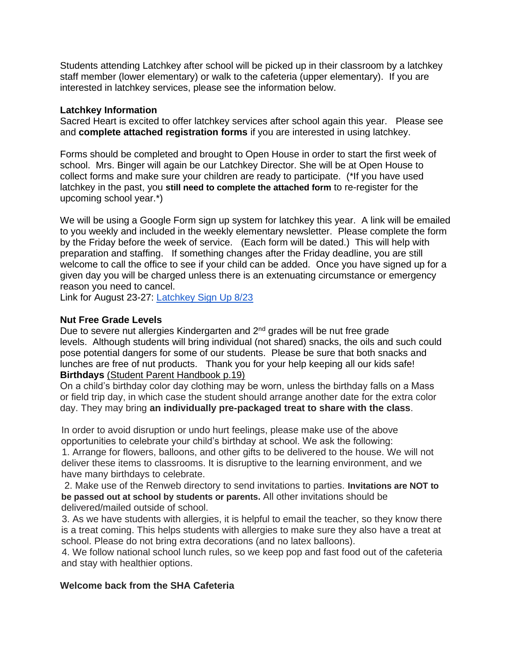Students attending Latchkey after school will be picked up in their classroom by a latchkey staff member (lower elementary) or walk to the cafeteria (upper elementary). If you are interested in latchkey services, please see the information below.

### **Latchkey Information**

Sacred Heart is excited to offer latchkey services after school again this year. Please see and **complete attached registration forms** if you are interested in using latchkey.

Forms should be completed and brought to Open House in order to start the first week of school. Mrs. Binger will again be our Latchkey Director. She will be at Open House to collect forms and make sure your children are ready to participate. (\*If you have used latchkey in the past, you **still need to complete the attached form** to re-register for the upcoming school year.\*)

We will be using a Google Form sign up system for latchkey this year. A link will be emailed to you weekly and included in the weekly elementary newsletter. Please complete the form by the Friday before the week of service. (Each form will be dated.) This will help with preparation and staffing. If something changes after the Friday deadline, you are still welcome to call the office to see if your child can be added. Once you have signed up for a given day you will be charged unless there is an extenuating circumstance or emergency reason you need to cancel.

Link for August 23-27: [Latchkey Sign Up 8/23](https://docs.google.com/forms/d/e/1FAIpQLSeaKDw1qgdCQtnaI-0mXBPLAGsW-WTZsQAEeqm8s5mxQuDrlg/viewform?usp=sf_link)

### **Nut Free Grade Levels**

Due to severe nut allergies Kindergarten and 2<sup>nd</sup> grades will be nut free grade levels. Although students will bring individual (not shared) snacks, the oils and such could pose potential dangers for some of our students. Please be sure that both snacks and lunches are free of nut products. Thank you for your help keeping all our kids safe! **Birthdays** (Student Parent Handbook p.19)

On a child's birthday color day clothing may be worn, unless the birthday falls on a Mass or field trip day, in which case the student should arrange another date for the extra color day. They may bring **an individually pre-packaged treat to share with the class**.

In order to avoid disruption or undo hurt feelings, please make use of the above opportunities to celebrate your child's birthday at school. We ask the following:

1. Arrange for flowers, balloons, and other gifts to be delivered to the house. We will not deliver these items to classrooms. It is disruptive to the learning environment, and we have many birthdays to celebrate.

2. Make use of the Renweb directory to send invitations to parties. **Invitations are NOT to be passed out at school by students or parents.** All other invitations should be delivered/mailed outside of school.

3. As we have students with allergies, it is helpful to email the teacher, so they know there is a treat coming. This helps students with allergies to make sure they also have a treat at school. Please do not bring extra decorations (and no latex balloons).

4. We follow national school lunch rules, so we keep pop and fast food out of the cafeteria and stay with healthier options.

### **Welcome back from the SHA Cafeteria**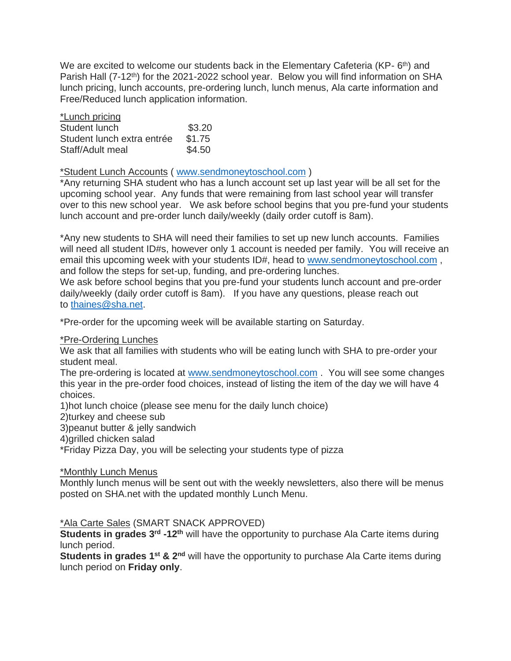We are excited to welcome our students back in the Elementary Cafeteria (KP-6<sup>th</sup>) and Parish Hall (7-12<sup>th</sup>) for the 2021-2022 school year. Below you will find information on SHA lunch pricing, lunch accounts, pre-ordering lunch, lunch menus, Ala carte information and Free/Reduced lunch application information.

| *Lunch pricing             |        |
|----------------------------|--------|
| Student lunch              | \$3.20 |
| Student lunch extra entrée | \$1.75 |
| Staff/Adult meal           | \$4.50 |

\*Student Lunch Accounts ( [www.sendmoneytoschool.com](http://www.sendmoneytoschool.com/) )

\*Any returning SHA student who has a lunch account set up last year will be all set for the upcoming school year. Any funds that were remaining from last school year will transfer over to this new school year. We ask before school begins that you pre-fund your students lunch account and pre-order lunch daily/weekly (daily order cutoff is 8am).

\*Any new students to SHA will need their families to set up new lunch accounts. Families will need all student ID#s, however only 1 account is needed per family. You will receive an email this upcoming week with your students ID#, head to [www.sendmoneytoschool.com](http://www.sendmoneytoschool.com/), and follow the steps for set-up, funding, and pre-ordering lunches.

We ask before school begins that you pre-fund your students lunch account and pre-order daily/weekly (daily order cutoff is 8am). If you have any questions, please reach out to [thaines@sha.net.](mailto:thaines@sha.net)

\*Pre-order for the upcoming week will be available starting on Saturday.

### \*Pre-Ordering Lunches

We ask that all families with students who will be eating lunch with SHA to pre-order your student meal.

The pre-ordering is located at [www.sendmoneytoschool.com](http://www.sendmoneytoschool.com/) . You will see some changes this year in the pre-order food choices, instead of listing the item of the day we will have 4 choices.

1)hot lunch choice (please see menu for the daily lunch choice)

2)turkey and cheese sub

3)peanut butter & jelly sandwich

4)grilled chicken salad

\*Friday Pizza Day, you will be selecting your students type of pizza

#### \*Monthly Lunch Menus

Monthly lunch menus will be sent out with the weekly newsletters, also there will be menus posted on SHA.net with the updated monthly Lunch Menu.

### \*Ala Carte Sales (SMART SNACK APPROVED)

**Students in grades 3rd -12th** will have the opportunity to purchase Ala Carte items during lunch period.

**Students in grades 1st & 2nd** will have the opportunity to purchase Ala Carte items during lunch period on **Friday only**.